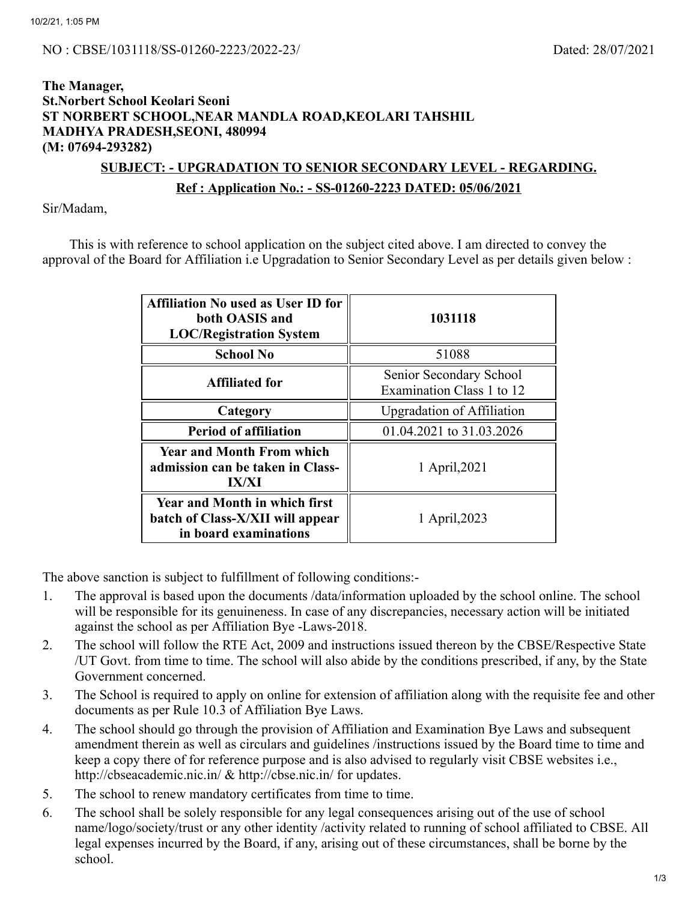## **The Manager, St.Norbert School Keolari Seoni ST NORBERT SCHOOL,NEAR MANDLA ROAD,KEOLARI TAHSHIL MADHYA PRADESH,SEONI, 480994 (M: 07694-293282)**

# **SUBJECT: - UPGRADATION TO SENIOR SECONDARY LEVEL - REGARDING. Ref : Application No.: - SS-01260-2223 DATED: 05/06/2021**

Sir/Madam,

This is with reference to school application on the subject cited above. I am directed to convey the approval of the Board for Affiliation i.e Upgradation to Senior Secondary Level as per details given below :

| <b>Affiliation No used as User ID for</b><br>both OASIS and<br><b>LOC/Registration System</b>     | 1031118                                              |  |  |
|---------------------------------------------------------------------------------------------------|------------------------------------------------------|--|--|
| <b>School No</b>                                                                                  | 51088                                                |  |  |
| <b>Affiliated for</b>                                                                             | Senior Secondary School<br>Examination Class 1 to 12 |  |  |
| Category                                                                                          | <b>Upgradation of Affiliation</b>                    |  |  |
| <b>Period of affiliation</b>                                                                      | 01.04.2021 to 31.03.2026                             |  |  |
| <b>Year and Month From which</b><br>admission can be taken in Class-<br><b>IX/XI</b>              | 1 April, 2021                                        |  |  |
| <b>Year and Month in which first</b><br>batch of Class-X/XII will appear<br>in board examinations | 1 April, 2023                                        |  |  |

The above sanction is subject to fulfillment of following conditions:-

- 1. The approval is based upon the documents /data/information uploaded by the school online. The school will be responsible for its genuineness. In case of any discrepancies, necessary action will be initiated against the school as per Affiliation Bye -Laws-2018.
- 2. The school will follow the RTE Act, 2009 and instructions issued thereon by the CBSE/Respective State /UT Govt. from time to time. The school will also abide by the conditions prescribed, if any, by the State Government concerned.
- 3. The School is required to apply on online for extension of affiliation along with the requisite fee and other documents as per Rule 10.3 of Affiliation Bye Laws.
- 4. The school should go through the provision of Affiliation and Examination Bye Laws and subsequent amendment therein as well as circulars and guidelines /instructions issued by the Board time to time and keep a copy there of for reference purpose and is also advised to regularly visit CBSE websites i.e., http://cbseacademic.nic.in/ & http://cbse.nic.in/ for updates.
- 5. The school to renew mandatory certificates from time to time.
- 6. The school shall be solely responsible for any legal consequences arising out of the use of school name/logo/society/trust or any other identity /activity related to running of school affiliated to CBSE. All legal expenses incurred by the Board, if any, arising out of these circumstances, shall be borne by the school.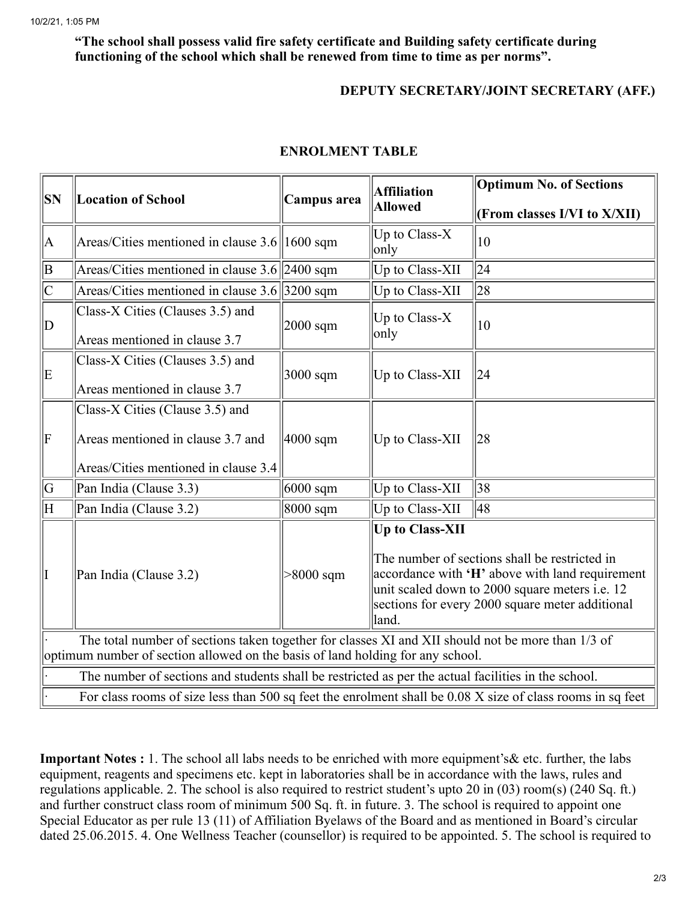### **"The school shall possess valid fire safety certificate and Building safety certificate during functioning of the school which shall be renewed from time to time as per norms".**

### **DEPUTY SECRETARY/JOINT SECRETARY (AFF.)**

| <b>SN</b>                                                                                                  | <b>Location of School</b>                          | Campus area | <b>Affiliation</b><br><b>Allowed</b>                                                                                                                                                                                                     | <b>Optimum No. of Sections</b> |  |
|------------------------------------------------------------------------------------------------------------|----------------------------------------------------|-------------|------------------------------------------------------------------------------------------------------------------------------------------------------------------------------------------------------------------------------------------|--------------------------------|--|
|                                                                                                            |                                                    |             |                                                                                                                                                                                                                                          | (From classes I/VI to X/XII)   |  |
| A.                                                                                                         | Areas/Cities mentioned in clause $3.6\ 1600\ $ sqm |             | Up to Class- $X$<br>only                                                                                                                                                                                                                 | 10                             |  |
| B                                                                                                          | Areas/Cities mentioned in clause $3.6$ 2400 sqm    |             | Up to Class-XII                                                                                                                                                                                                                          | 24                             |  |
| $\overline{\rm C}$                                                                                         | Areas/Cities mentioned in clause $3.6$ 3200 sqm    |             | Up to Class-XII                                                                                                                                                                                                                          | 28                             |  |
| D                                                                                                          | Class-X Cities (Clauses 3.5) and                   | $2000$ sqm  | Up to Class- $X$<br>only                                                                                                                                                                                                                 | 10                             |  |
|                                                                                                            | Areas mentioned in clause 3.7                      |             |                                                                                                                                                                                                                                          |                                |  |
| E                                                                                                          | Class-X Cities (Clauses 3.5) and                   | 3000 sqm    | Up to Class-XII                                                                                                                                                                                                                          | 24                             |  |
|                                                                                                            | Areas mentioned in clause 3.7                      |             |                                                                                                                                                                                                                                          |                                |  |
|                                                                                                            | Class-X Cities (Clause 3.5) and                    |             |                                                                                                                                                                                                                                          |                                |  |
| F                                                                                                          | Areas mentioned in clause 3.7 and                  | $4000$ sqm  | Up to Class-XII                                                                                                                                                                                                                          | 28                             |  |
|                                                                                                            | Areas/Cities mentioned in clause 3.4               |             |                                                                                                                                                                                                                                          |                                |  |
| G                                                                                                          | Pan India (Clause 3.3)                             | $6000$ sqm  | Up to Class-XII                                                                                                                                                                                                                          | 38                             |  |
| $\overline{\overline{\rm H}}$                                                                              | Pan India (Clause 3.2)                             | 8000 sqm    | Up to Class-XII                                                                                                                                                                                                                          | 48                             |  |
| I                                                                                                          | Pan India (Clause 3.2)                             | $>8000$ sqm | <b>Up to Class-XII</b><br>The number of sections shall be restricted in<br>accordance with 'H' above with land requirement<br>unit scaled down to 2000 square meters i.e. 12<br>sections for every 2000 square meter additional<br>land. |                                |  |
| The total number of sections taken together for classes XI and XII should not be more than 1/3 of          |                                                    |             |                                                                                                                                                                                                                                          |                                |  |
| optimum number of section allowed on the basis of land holding for any school.                             |                                                    |             |                                                                                                                                                                                                                                          |                                |  |
| The number of sections and students shall be restricted as per the actual facilities in the school.        |                                                    |             |                                                                                                                                                                                                                                          |                                |  |
| For class rooms of size less than 500 sq feet the enrolment shall be 0.08 X size of class rooms in sq feet |                                                    |             |                                                                                                                                                                                                                                          |                                |  |

#### **ENROLMENT TABLE**

**Important Notes :** 1. The school all labs needs to be enriched with more equipment's& etc. further, the labs equipment, reagents and specimens etc. kept in laboratories shall be in accordance with the laws, rules and regulations applicable. 2. The school is also required to restrict student's upto 20 in (03) room(s) (240 Sq. ft.) and further construct class room of minimum 500 Sq. ft. in future. 3. The school is required to appoint one Special Educator as per rule 13 (11) of Affiliation Byelaws of the Board and as mentioned in Board's circular dated 25.06.2015. 4. One Wellness Teacher (counsellor) is required to be appointed. 5. The school is required to